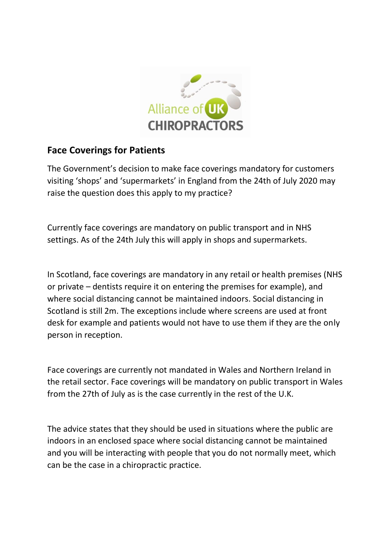

## **Face Coverings for Patients**

The Government's decision to make face coverings mandatory for customers visiting 'shops' and 'supermarkets' in England from the 24th of July 2020 may raise the question does this apply to my practice?

Currently face coverings are mandatory on public transport and in NHS settings. As of the 24th July this will apply in shops and supermarkets.

In Scotland, face coverings are mandatory in any retail or health premises (NHS or private – dentists require it on entering the premises for example), and where social distancing cannot be maintained indoors. Social distancing in Scotland is still 2m. The exceptions include where screens are used at front desk for example and patients would not have to use them if they are the only person in reception.

Face coverings are currently not mandated in Wales and Northern Ireland in the retail sector. Face coverings will be mandatory on public transport in Wales from the 27th of July as is the case currently in the rest of the U.K.

The advice states that they should be used in situations where the public are indoors in an enclosed space where social distancing cannot be maintained and you will be interacting with people that you do not normally meet, which can be the case in a chiropractic practice.